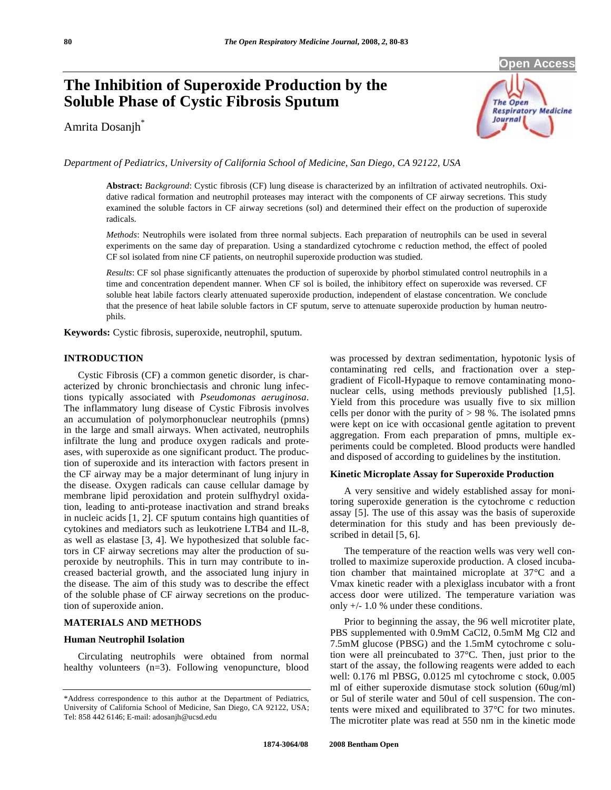# **The Inhibition of Superoxide Production by the Soluble Phase of Cystic Fibrosis Sputum**

Amrita Dosanjh\*



*Department of Pediatrics, University of California School of Medicine, San Diego, CA 92122, USA* 

**Abstract:** *Background*: Cystic fibrosis (CF) lung disease is characterized by an infiltration of activated neutrophils. Oxidative radical formation and neutrophil proteases may interact with the components of CF airway secretions. This study examined the soluble factors in CF airway secretions (sol) and determined their effect on the production of superoxide radicals.

*Methods*: Neutrophils were isolated from three normal subjects. Each preparation of neutrophils can be used in several experiments on the same day of preparation. Using a standardized cytochrome c reduction method, the effect of pooled CF sol isolated from nine CF patients, on neutrophil superoxide production was studied.

*Results*: CF sol phase significantly attenuates the production of superoxide by phorbol stimulated control neutrophils in a time and concentration dependent manner. When CF sol is boiled, the inhibitory effect on superoxide was reversed. CF soluble heat labile factors clearly attenuated superoxide production, independent of elastase concentration. We conclude that the presence of heat labile soluble factors in CF sputum, serve to attenuate superoxide production by human neutrophils.

**Keywords:** Cystic fibrosis, superoxide, neutrophil, sputum.

#### **INTRODUCTION**

 Cystic Fibrosis (CF) a common genetic disorder, is characterized by chronic bronchiectasis and chronic lung infections typically associated with *Pseudomonas aeruginosa*. The inflammatory lung disease of Cystic Fibrosis involves an accumulation of polymorphonuclear neutrophils (pmns) in the large and small airways. When activated, neutrophils infiltrate the lung and produce oxygen radicals and proteases, with superoxide as one significant product. The production of superoxide and its interaction with factors present in the CF airway may be a major determinant of lung injury in the disease. Oxygen radicals can cause cellular damage by membrane lipid peroxidation and protein sulfhydryl oxidation, leading to anti-protease inactivation and strand breaks in nucleic acids [1, 2]. CF sputum contains high quantities of cytokines and mediators such as leukotriene LTB4 and IL-8, as well as elastase [3, 4]. We hypothesized that soluble factors in CF airway secretions may alter the production of superoxide by neutrophils. This in turn may contribute to increased bacterial growth, and the associated lung injury in the disease. The aim of this study was to describe the effect of the soluble phase of CF airway secretions on the production of superoxide anion.

#### **MATERIALS AND METHODS**

#### **Human Neutrophil Isolation**

 Circulating neutrophils were obtained from normal healthy volunteers (n=3). Following venopuncture, blood was processed by dextran sedimentation, hypotonic lysis of contaminating red cells, and fractionation over a stepgradient of Ficoll-Hypaque to remove contaminating mononuclear cells, using methods previously published [1,5]. Yield from this procedure was usually five to six million cells per donor with the purity of  $> 98$  %. The isolated pmns were kept on ice with occasional gentle agitation to prevent aggregation. From each preparation of pmns, multiple experiments could be completed. Blood products were handled and disposed of according to guidelines by the institution.

#### **Kinetic Microplate Assay for Superoxide Production**

 A very sensitive and widely established assay for monitoring superoxide generation is the cytochrome c reduction assay [5]. The use of this assay was the basis of superoxide determination for this study and has been previously described in detail [5, 6].

 The temperature of the reaction wells was very well controlled to maximize superoxide production. A closed incubation chamber that maintained microplate at 37°C and a Vmax kinetic reader with a plexiglass incubator with a front access door were utilized. The temperature variation was only +/- 1.0 % under these conditions.

 Prior to beginning the assay, the 96 well microtiter plate, PBS supplemented with 0.9mM CaCl2, 0.5mM Mg Cl2 and 7.5mM glucose (PBSG) and the 1.5mM cytochrome c solution were all preincubated to 37°C. Then, just prior to the start of the assay, the following reagents were added to each well: 0.176 ml PBSG, 0.0125 ml cytochrome c stock, 0.005 ml of either superoxide dismutase stock solution (60ug/ml) or 5ul of sterile water and 50ul of cell suspension. The contents were mixed and equilibrated to 37°C for two minutes. The microtiter plate was read at 550 nm in the kinetic mode

<sup>\*</sup>Address correspondence to this author at the Department of Pediatrics, University of California School of Medicine, San Diego, CA 92122, USA; Tel: 858 442 6146; E-mail: adosanjh@ucsd.edu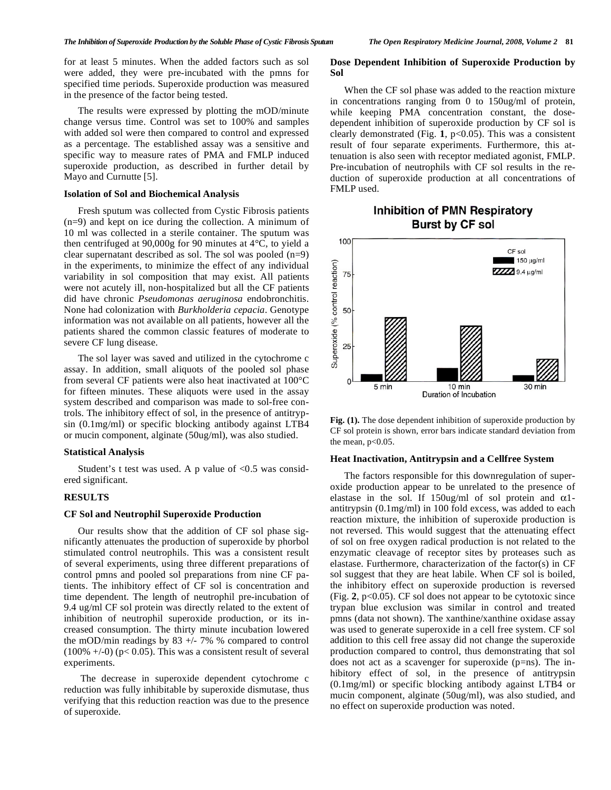for at least 5 minutes. When the added factors such as sol were added, they were pre-incubated with the pmns for specified time periods. Superoxide production was measured in the presence of the factor being tested.

 The results were expressed by plotting the mOD/minute change versus time. Control was set to 100% and samples with added sol were then compared to control and expressed as a percentage. The established assay was a sensitive and specific way to measure rates of PMA and FMLP induced superoxide production, as described in further detail by Mayo and Curnutte [5].

#### **Isolation of Sol and Biochemical Analysis**

 Fresh sputum was collected from Cystic Fibrosis patients (n=9) and kept on ice during the collection. A minimum of 10 ml was collected in a sterile container. The sputum was then centrifuged at 90,000g for 90 minutes at 4°C, to yield a clear supernatant described as sol. The sol was pooled (n=9) in the experiments, to minimize the effect of any individual variability in sol composition that may exist. All patients were not acutely ill, non-hospitalized but all the CF patients did have chronic *Pseudomonas aeruginosa* endobronchitis. None had colonization with *Burkholderia cepacia*. Genotype information was not available on all patients, however all the patients shared the common classic features of moderate to severe CF lung disease.

 The sol layer was saved and utilized in the cytochrome c assay. In addition, small aliquots of the pooled sol phase from several CF patients were also heat inactivated at 100°C for fifteen minutes. These aliquots were used in the assay system described and comparison was made to sol-free controls. The inhibitory effect of sol, in the presence of antitrypsin (0.1mg/ml) or specific blocking antibody against LTB4 or mucin component, alginate (50ug/ml), was also studied.

#### **Statistical Analysis**

Student's t test was used. A p value of  $< 0.5$  was considered significant.

#### **RESULTS**

#### **CF Sol and Neutrophil Superoxide Production**

 Our results show that the addition of CF sol phase significantly attenuates the production of superoxide by phorbol stimulated control neutrophils. This was a consistent result of several experiments, using three different preparations of control pmns and pooled sol preparations from nine CF patients. The inhibitory effect of CF sol is concentration and time dependent. The length of neutrophil pre-incubation of 9.4 ug/ml CF sol protein was directly related to the extent of inhibition of neutrophil superoxide production, or its increased consumption. The thirty minute incubation lowered the mOD/min readings by 83 +/- 7% % compared to control  $(100\% +10)$  (p< 0.05). This was a consistent result of several experiments.

 The decrease in superoxide dependent cytochrome c reduction was fully inhibitable by superoxide dismutase, thus verifying that this reduction reaction was due to the presence of superoxide.

#### **Dose Dependent Inhibition of Superoxide Production by Sol**

 When the CF sol phase was added to the reaction mixture in concentrations ranging from 0 to 150ug/ml of protein, while keeping PMA concentration constant, the dosedependent inhibition of superoxide production by CF sol is clearly demonstrated (Fig. **1**, p<0.05). This was a consistent result of four separate experiments. Furthermore, this attenuation is also seen with receptor mediated agonist, FMLP. Pre-incubation of neutrophils with CF sol results in the reduction of superoxide production at all concentrations of FMLP used.

## **Inhibition of PMN Respiratory Burst by CF sol**





#### **Heat Inactivation, Antitrypsin and a Cellfree System**

 The factors responsible for this downregulation of superoxide production appear to be unrelated to the presence of elastase in the sol. If 150ug/ml of sol protein and  $\alpha$ 1antitrypsin (0.1mg/ml) in 100 fold excess, was added to each reaction mixture, the inhibition of superoxide production is not reversed. This would suggest that the attenuating effect of sol on free oxygen radical production is not related to the enzymatic cleavage of receptor sites by proteases such as elastase. Furthermore, characterization of the factor(s) in CF sol suggest that they are heat labile. When CF sol is boiled, the inhibitory effect on superoxide production is reversed (Fig. **2**, p<0.05). CF sol does not appear to be cytotoxic since trypan blue exclusion was similar in control and treated pmns (data not shown). The xanthine/xanthine oxidase assay was used to generate superoxide in a cell free system. CF sol addition to this cell free assay did not change the superoxide production compared to control, thus demonstrating that sol does not act as a scavenger for superoxide (p=ns). The inhibitory effect of sol, in the presence of antitrypsin (0.1mg/ml) or specific blocking antibody against LTB4 or mucin component, alginate (50ug/ml), was also studied, and no effect on superoxide production was noted.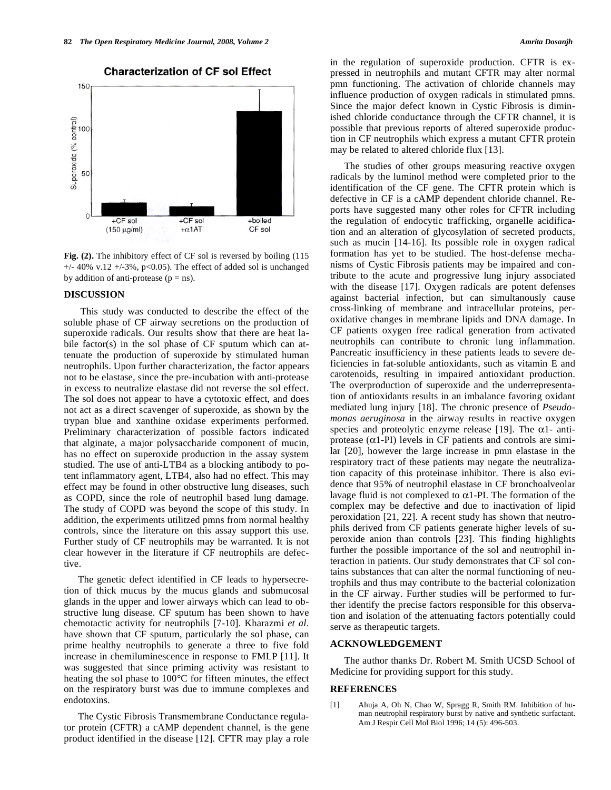

#### **Characterization of CF sol Effect**

Fig. (2). The inhibitory effect of CF sol is reversed by boiling (115)  $+/- 40\%$  v.12  $+/-3\%$ , p<0.05). The effect of added sol is unchanged by addition of anti-protease ( $p = ns$ ).

#### **DISCUSSION**

 This study was conducted to describe the effect of the soluble phase of CF airway secretions on the production of superoxide radicals. Our results show that there are heat labile factor(s) in the sol phase of CF sputum which can attenuate the production of superoxide by stimulated human neutrophils. Upon further characterization, the factor appears not to be elastase, since the pre-incubation with anti-protease in excess to neutralize elastase did not reverse the sol effect. The sol does not appear to have a cytotoxic effect, and does not act as a direct scavenger of superoxide, as shown by the trypan blue and xanthine oxidase experiments performed. Preliminary characterization of possible factors indicated that alginate, a major polysaccharide component of mucin, has no effect on superoxide production in the assay system studied. The use of anti-LTB4 as a blocking antibody to potent inflammatory agent, LTB4, also had no effect. This may effect may be found in other obstructive lung diseases, such as COPD, since the role of neutrophil based lung damage. The study of COPD was beyond the scope of this study. In addition, the experiments utilitzed pmns from normal healthy controls, since the literature on this assay support this use. Further study of CF neutrophils may be warranted. It is not clear however in the literature if CF neutrophils are defective.

 The genetic defect identified in CF leads to hypersecretion of thick mucus by the mucus glands and submucosal glands in the upper and lower airways which can lead to obstructive lung disease. CF sputum has been shown to have chemotactic activity for neutrophils [7-10]. Kharazmi *et al*. have shown that CF sputum, particularly the sol phase, can prime healthy neutrophils to generate a three to five fold increase in chemiluminescence in response to FMLP [11]. It was suggested that since priming activity was resistant to heating the sol phase to 100°C for fifteen minutes, the effect on the respiratory burst was due to immune complexes and endotoxins.

 The Cystic Fibrosis Transmembrane Conductance regulator protein (CFTR) a cAMP dependent channel, is the gene product identified in the disease [12]. CFTR may play a role in the regulation of superoxide production. CFTR is expressed in neutrophils and mutant CFTR may alter normal pmn functioning. The activation of chloride channels may influence production of oxygen radicals in stimulated pmns. Since the major defect known in Cystic Fibrosis is diminished chloride conductance through the CFTR channel, it is possible that previous reports of altered superoxide production in CF neutrophils which express a mutant CFTR protein may be related to altered chloride flux [13].

 The studies of other groups measuring reactive oxygen radicals by the luminol method were completed prior to the identification of the CF gene. The CFTR protein which is defective in CF is a cAMP dependent chloride channel. Reports have suggested many other roles for CFTR including the regulation of endocytic trafficking, organelle acidification and an alteration of glycosylation of secreted products, such as mucin [14-16]. Its possible role in oxygen radical formation has yet to be studied. The host-defense mechanisms of Cystic Fibrosis patients may be impaired and contribute to the acute and progressive lung injury associated with the disease [17]. Oxygen radicals are potent defenses against bacterial infection, but can simultanously cause cross-linking of membrane and intracellular proteins, peroxidative changes in membrane lipids and DNA damage. In CF patients oxygen free radical generation from activated neutrophils can contribute to chronic lung inflammation. Pancreatic insufficiency in these patients leads to severe deficiencies in fat-soluble antioxidants, such as vitamin E and carotenoids, resulting in impaired antioxidant production. The overproduction of superoxide and the underrepresentation of antioxidants results in an imbalance favoring oxidant mediated lung injury [18]. The chronic presence of *Pseudomonas aeruginosa* in the airway results in reactive oxygen species and proteolytic enzyme release [19]. The  $\alpha$ 1- antiprotease  $(\alpha 1-PI)$  levels in CF patients and controls are similar [20], however the large increase in pmn elastase in the respiratory tract of these patients may negate the neutralization capacity of this proteinase inhibitor. There is also evidence that 95% of neutrophil elastase in CF bronchoalveolar lavage fluid is not complexed to  $\alpha$ 1-PI. The formation of the complex may be defective and due to inactivation of lipid peroxidation [21, 22]. A recent study has shown that neutrophils derived from CF patients generate higher levels of superoxide anion than controls [23]. This finding highlights further the possible importance of the sol and neutrophil interaction in patients. Our study demonstrates that CF sol contains substances that can alter the normal functioning of neutrophils and thus may contribute to the bacterial colonization in the CF airway. Further studies will be performed to further identify the precise factors responsible for this observation and isolation of the attenuating factors potentially could serve as therapeutic targets.

### **ACKNOWLEDGEMENT**

 The author thanks Dr. Robert M. Smith UCSD School of Medicine for providing support for this study.

#### **REFERENCES**

[1] Ahuja A, Oh N, Chao W, Spragg R, Smith RM. Inhibition of human neutrophil respiratory burst by native and synthetic surfactant. Am J Respir Cell Mol Biol 1996; 14 (5): 496-503.